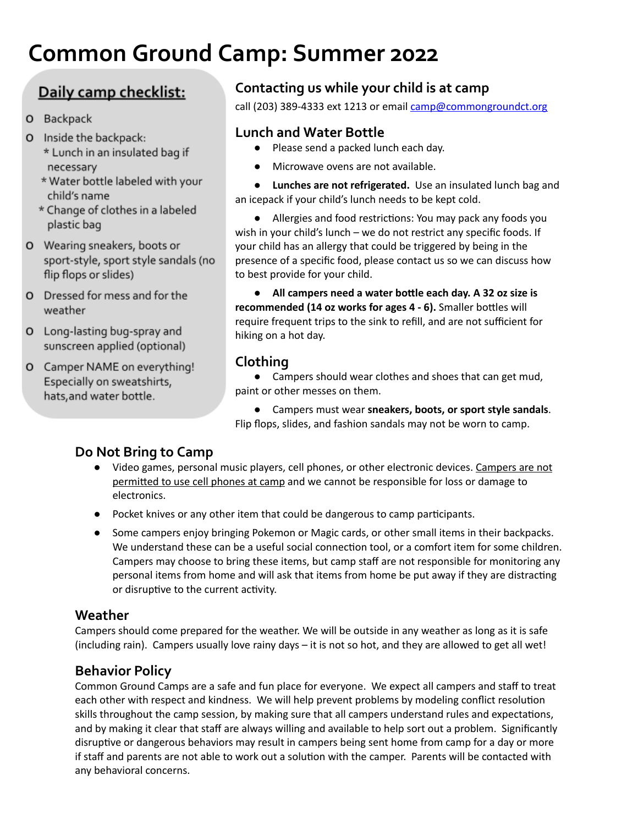# **Common Ground Camp: Summer 2022**

# Daily camp checklist:

- O Backpack
- O Inside the backpack: \* Lunch in an insulated bag if necessary
	- \* Water bottle labeled with your child's name
	- \* Change of clothes in a labeled plastic bag
- O Wearing sneakers, boots or sport-style, sport style sandals (no flip flops or slides)
- O Dressed for mess and for the weather
- O Long-lasting bug-spray and sunscreen applied (optional)
- O Camper NAME on everything! Especially on sweatshirts, hats, and water bottle.

## **Contacting us while your child is at camp**

call (203) 389-4333 ext 1213 or email [camp@commongroundct.org](mailto:camp@commongroundct.org)

## **Lunch and Water Bottle**

- Please send a packed lunch each day.
- Microwave ovens are not available.
- **Lunches are not refrigerated.** Use an insulated lunch bag and an icepack if your child's lunch needs to be kept cold.

• Allergies and food restrictions: You may pack any foods you wish in your child's lunch – we do not restrict any specific foods. If your child has an allergy that could be triggered by being in the presence of a specific food, please contact us so we can discuss how to best provide for your child.

● **All campers need a water bole each day. A 32 oz size is recommended (14 oz works for ages 4 - 6).** Smaller boles will require frequent trips to the sink to refill, and are not sufficient for hiking on a hot day.

## **Clothing**

● Campers should wear clothes and shoes that can get mud, paint or other messes on them.

● Campers must wear **sneakers, boots, or sport style sandals**. Flip flops, slides, and fashion sandals may not be worn to camp.

## **Do Not Bring to Camp**

- Video games, personal music players, cell phones, or other electronic devices. Campers are not permitted to use cell phones at camp and we cannot be responsible for loss or damage to electronics.
- Pocket knives or any other item that could be dangerous to camp participants.
- Some campers enjoy bringing Pokemon or Magic cards, or other small items in their backpacks. We understand these can be a useful social connection tool, or a comfort item for some children. Campers may choose to bring these items, but camp staff are not responsible for monitoring any personal items from home and will ask that items from home be put away if they are distracting or disruptive to the current activity.

#### **Weather**

Campers should come prepared for the weather. We will be outside in any weather as long as it is safe (including rain). Campers usually love rainy days – it is not so hot, and they are allowed to get all wet!

#### **Behavior Policy**

Common Ground Camps are a safe and fun place for everyone. We expect all campers and staff to treat each other with respect and kindness. We will help prevent problems by modeling conflict resolution skills throughout the camp session, by making sure that all campers understand rules and expectations, and by making it clear that staff are always willing and available to help sort out a problem. Significantly disruptive or dangerous behaviors may result in campers being sent home from camp for a day or more if staff and parents are not able to work out a solution with the camper. Parents will be contacted with any behavioral concerns.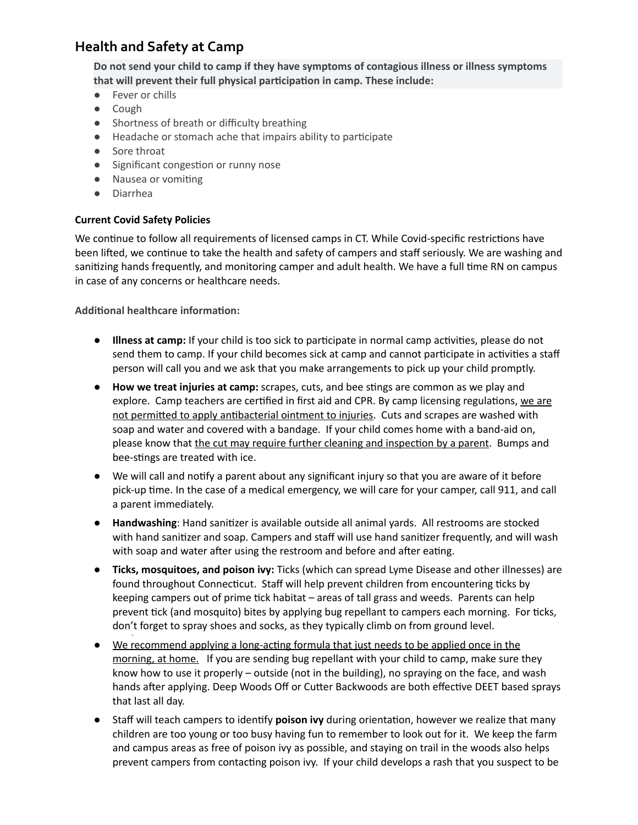### **Health and Safety at Camp**

**Do not send your child to camp if they have symptoms of contagious illness or illness symptoms that will prevent their full physical parcipaon in camp. These include:**

- Fever or chills
- Cough
- Shortness of breath or difficulty breathing
- Headache or stomach ache that impairs ability to parcipate
- Sore throat
- Significant congestion or runny nose
- Nausea or vomiting
- Diarrhea

#### **Current Covid Safety Policies**

We continue to follow all requirements of licensed camps in CT. While Covid-specific restrictions have been lifted, we continue to take the health and safety of campers and staff seriously. We are washing and sanitizing hands frequently, and monitoring camper and adult health. We have a full time RN on campus in case of any concerns or healthcare needs.

**Additional healthcare information:** 

○

- **Illness at camp:** If your child is too sick to participate in normal camp activities, please do not send them to camp. If your child becomes sick at camp and cannot participate in activities a staff person will call you and we ask that you make arrangements to pick up your child promptly.
- **How we treat injuries at camp:** scrapes, cuts, and bee stings are common as we play and explore. Camp teachers are certified in first aid and CPR. By camp licensing regulations, we are not permitted to apply antibacterial ointment to injuries. Cuts and scrapes are washed with soap and water and covered with a bandage. If your child comes home with a band-aid on, please know that the cut may require further cleaning and inspection by a parent. Bumps and bee-stings are treated with ice.
- We will call and notify a parent about any significant injury so that you are aware of it before pick-up time. In the case of a medical emergency, we will care for your camper, call 911, and call a parent immediately.
- **Handwashing**: Hand sanitizer is available outside all animal yards. All restrooms are stocked with hand sanitizer and soap. Campers and staff will use hand sanitizer frequently, and will wash with soap and water after using the restroom and before and after eating.
- **Ticks, mosquitoes, and poison ivy:** Ticks (which can spread Lyme Disease and other illnesses) are found throughout Connecticut. Staff will help prevent children from encountering ticks by keeping campers out of prime tick habitat – areas of tall grass and weeds. Parents can help prevent tick (and mosquito) bites by applying bug repellant to campers each morning. For ticks, don't forget to spray shoes and socks, as they typically climb on from ground level.
- We recommend applying a long-acting formula that just needs to be applied once in the morning, at home. If you are sending bug repellant with your child to camp, make sure they know how to use it properly – outside (not in the building), no spraying on the face, and wash hands after applying. Deep Woods Off or Cutter Backwoods are both effective DEET based sprays that last all day.
- Staff will teach campers to identify **poison ivy** during orientation, however we realize that many children are too young or too busy having fun to remember to look out for it. We keep the farm and campus areas as free of poison ivy as possible, and staying on trail in the woods also helps prevent campers from contacting poison ivy. If your child develops a rash that you suspect to be